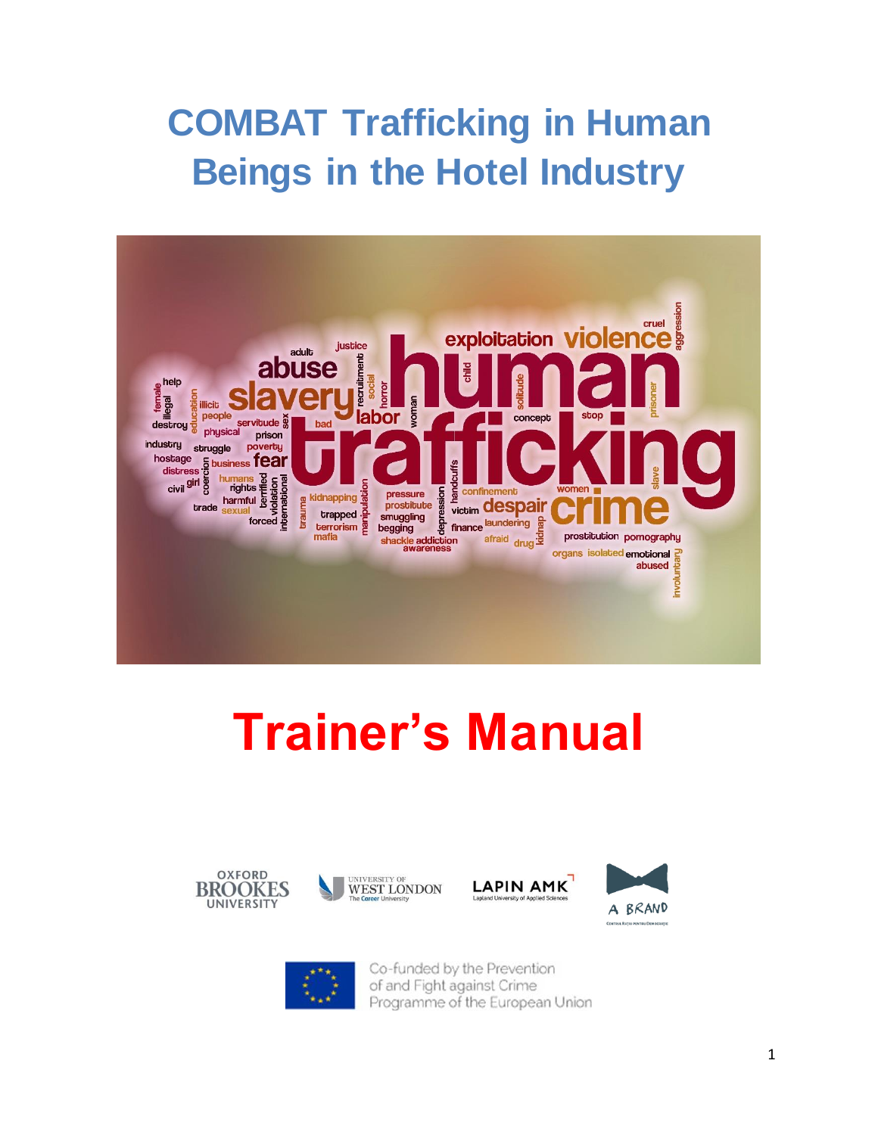## **COMBAT Trafficking in Human Beings in the Hotel Industry**



# **Trainer's Manual**











Co-funded by the Prevention of and Fight against Crime Programme of the European Union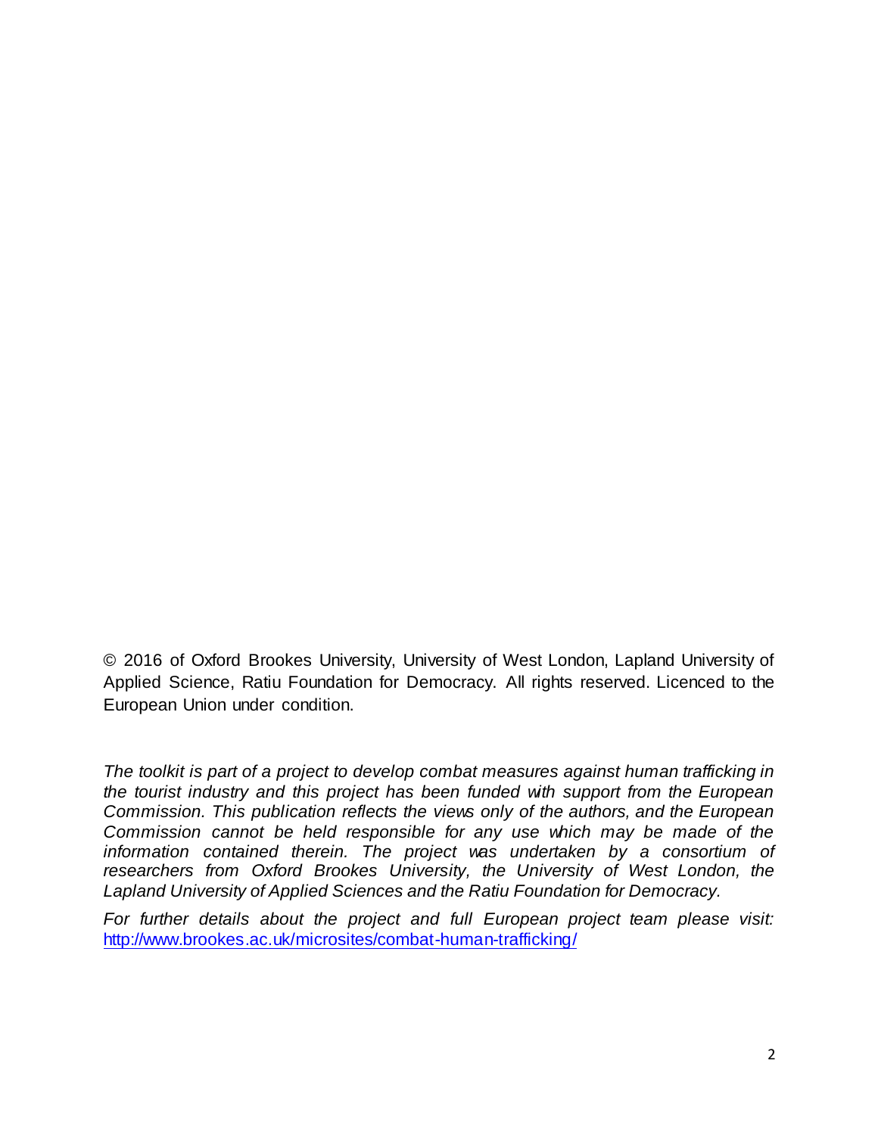© 2016 of Oxford Brookes University, University of West London, Lapland University of Applied Science, Ratiu Foundation for Democracy. All rights reserved. Licenced to the European Union under condition.

*The toolkit is part of a project to develop combat measures against human trafficking in the tourist industry and this project has been funded with support from the European Commission. This publication reflects the views only of the authors, and the European Commission cannot be held responsible for any use which may be made of the*  information contained therein. The project was undertaken by a consortium of researchers from Oxford Brookes University, the University of West London, the *Lapland University of Applied Sciences and the Ratiu Foundation for Democracy.* 

*For further details about the project and full European project team please visit:*  <http://www.brookes.ac.uk/microsites/combat-human-trafficking/>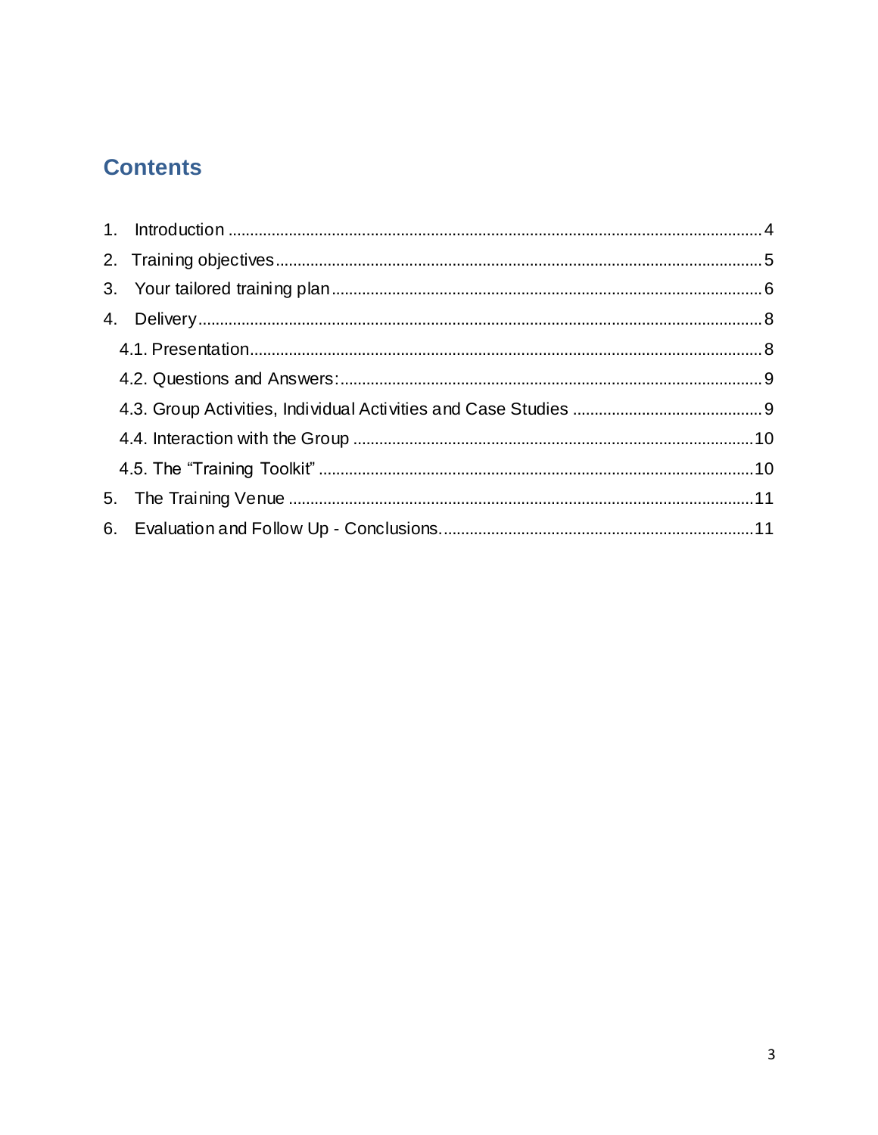## **Contents**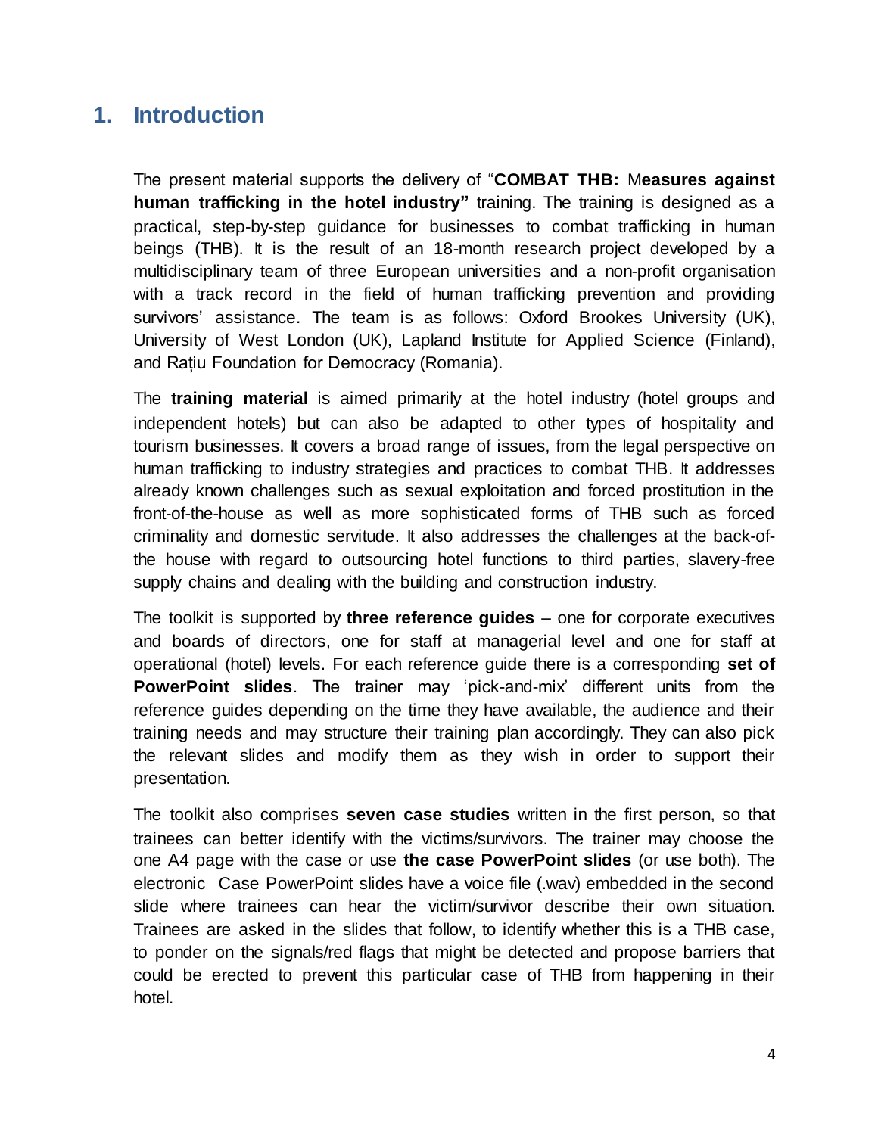## <span id="page-3-0"></span>**1. Introduction**

The present material supports the delivery of "**COMBAT THB:** M**easures against human trafficking in the hotel industry"** training. The training is designed as a practical, step-by-step guidance for businesses to combat trafficking in human beings (THB). It is the result of an 18-month research project developed by a multidisciplinary team of three European universities and a non-profit organisation with a track record in the field of human trafficking prevention and providing survivors' assistance. The team is as follows: Oxford Brookes University (UK), University of West London (UK), Lapland Institute for Applied Science (Finland), and Rațiu Foundation for Democracy (Romania).

The **training material** is aimed primarily at the hotel industry (hotel groups and independent hotels) but can also be adapted to other types of hospitality and tourism businesses. It covers a broad range of issues, from the legal perspective on human trafficking to industry strategies and practices to combat THB. It addresses already known challenges such as sexual exploitation and forced prostitution in the front-of-the-house as well as more sophisticated forms of THB such as forced criminality and domestic servitude. It also addresses the challenges at the back-ofthe house with regard to outsourcing hotel functions to third parties, slavery-free supply chains and dealing with the building and construction industry.

The toolkit is supported by **three reference guides** – one for corporate executives and boards of directors, one for staff at managerial level and one for staff at operational (hotel) levels. For each reference guide there is a corresponding **set of PowerPoint slides**. The trainer may 'pick-and-mix' different units from the reference guides depending on the time they have available, the audience and their training needs and may structure their training plan accordingly. They can also pick the relevant slides and modify them as they wish in order to support their presentation.

The toolkit also comprises **seven case studies** written in the first person, so that trainees can better identify with the victims/survivors. The trainer may choose the one A4 page with the case or use **the case PowerPoint slides** (or use both). The electronic Case PowerPoint slides have a voice file (.wav) embedded in the second slide where trainees can hear the victim/survivor describe their own situation. Trainees are asked in the slides that follow, to identify whether this is a THB case, to ponder on the signals/red flags that might be detected and propose barriers that could be erected to prevent this particular case of THB from happening in their hotel.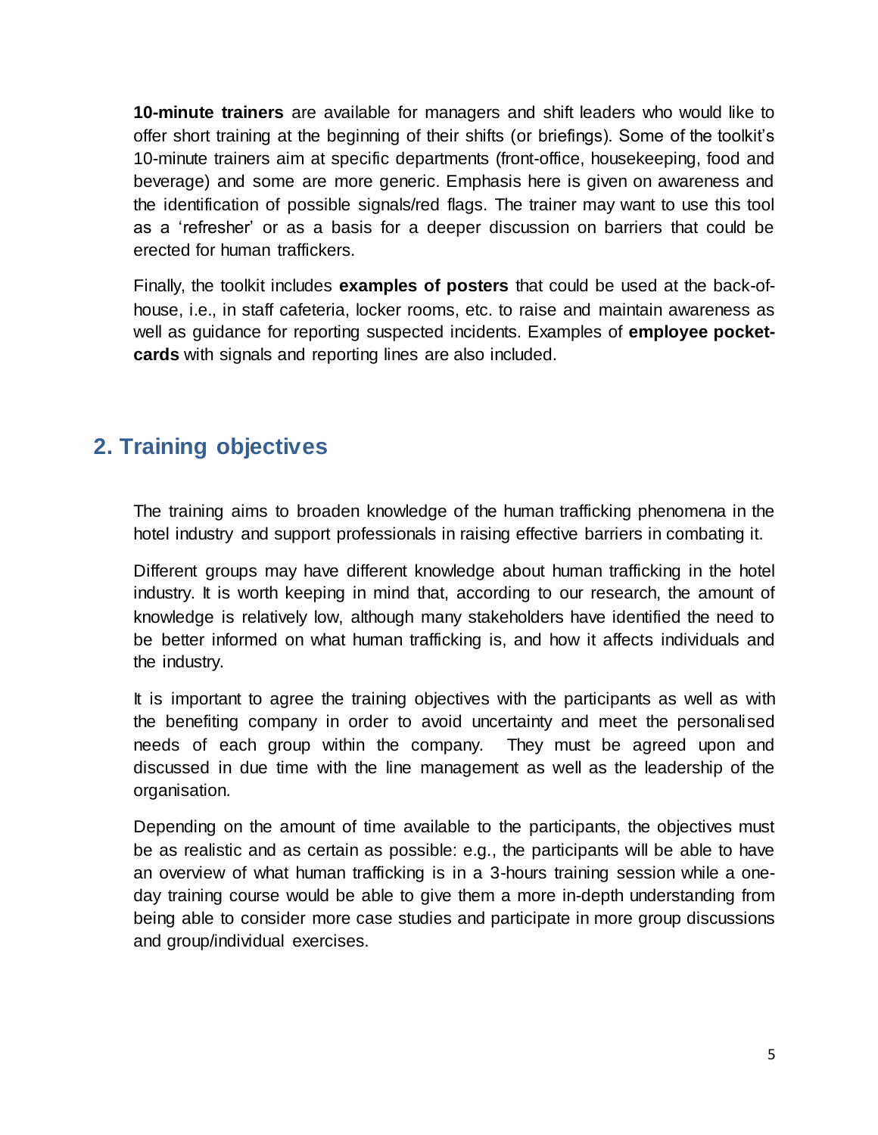**10-minute trainers** are available for managers and shift leaders who would like to offer short training at the beginning of their shifts (or briefings). Some of the toolkit's 10-minute trainers aim at specific departments (front-office, housekeeping, food and beverage) and some are more generic. Emphasis here is given on awareness and the identification of possible signals/red flags. The trainer may want to use this tool as a 'refresher' or as a basis for a deeper discussion on barriers that could be erected for human traffickers.

Finally, the toolkit includes **examples of posters** that could be used at the back-ofhouse, i.e., in staff cafeteria, locker rooms, etc. to raise and maintain awareness as well as guidance for reporting suspected incidents. Examples of **employee pocketcards** with signals and reporting lines are also included.

## <span id="page-4-0"></span>**2. Training objectives**

The training aims to broaden knowledge of the human trafficking phenomena in the hotel industry and support professionals in raising effective barriers in combating it.

Different groups may have different knowledge about human trafficking in the hotel industry. It is worth keeping in mind that, according to our research, the amount of knowledge is relatively low, although many stakeholders have identified the need to be better informed on what human trafficking is, and how it affects individuals and the industry.

It is important to agree the training objectives with the participants as well as with the benefiting company in order to avoid uncertainty and meet the personalised needs of each group within the company. They must be agreed upon and discussed in due time with the line management as well as the leadership of the organisation.

Depending on the amount of time available to the participants, the objectives must be as realistic and as certain as possible: e.g., the participants will be able to have an overview of what human trafficking is in a 3-hours training session while a oneday training course would be able to give them a more in-depth understanding from being able to consider more case studies and participate in more group discussions and group/individual exercises.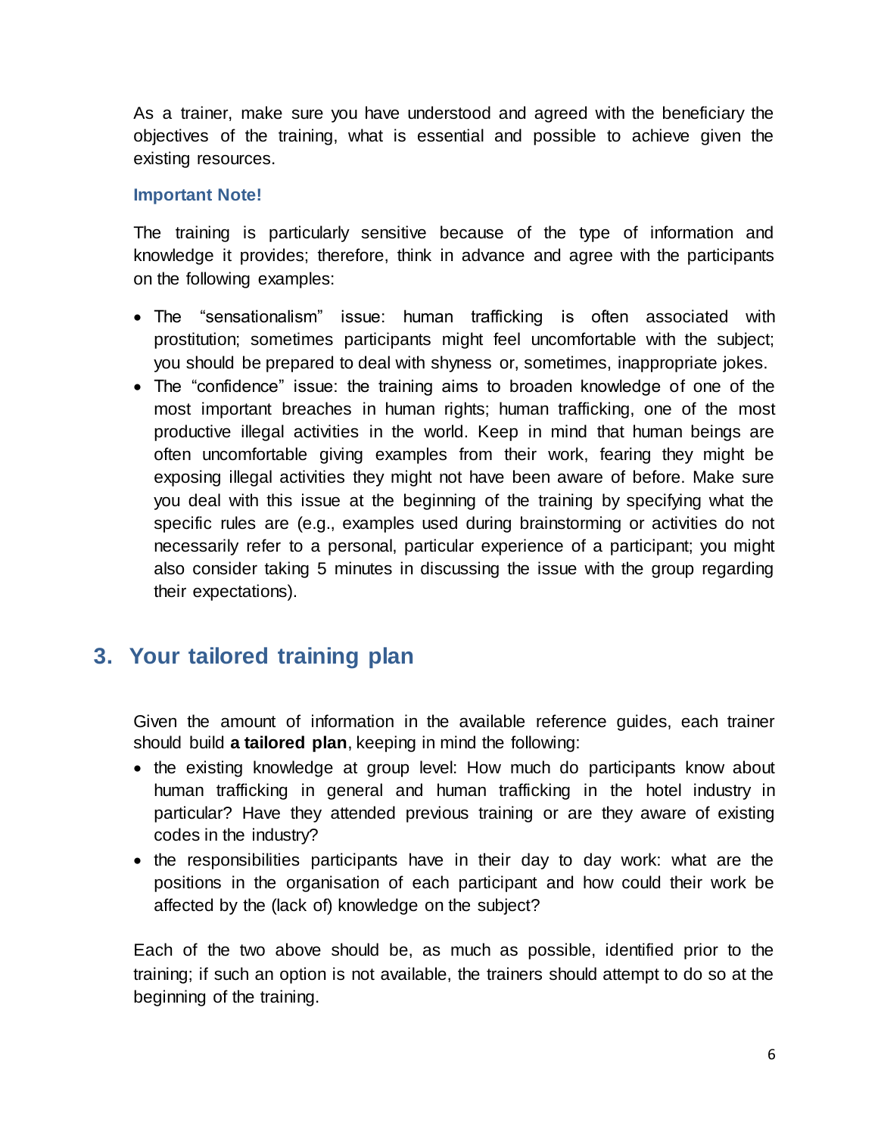As a trainer, make sure you have understood and agreed with the beneficiary the objectives of the training, what is essential and possible to achieve given the existing resources.

#### **Important Note!**

The training is particularly sensitive because of the type of information and knowledge it provides; therefore, think in advance and agree with the participants on the following examples:

- The "sensationalism" issue: human trafficking is often associated with prostitution; sometimes participants might feel uncomfortable with the subject; you should be prepared to deal with shyness or, sometimes, inappropriate jokes.
- The "confidence" issue: the training aims to broaden knowledge of one of the most important breaches in human rights; human trafficking, one of the most productive illegal activities in the world. Keep in mind that human beings are often uncomfortable giving examples from their work, fearing they might be exposing illegal activities they might not have been aware of before. Make sure you deal with this issue at the beginning of the training by specifying what the specific rules are (e.g., examples used during brainstorming or activities do not necessarily refer to a personal, particular experience of a participant; you might also consider taking 5 minutes in discussing the issue with the group regarding their expectations).

## <span id="page-5-0"></span>**3. Your tailored training plan**

Given the amount of information in the available reference guides, each trainer should build **a tailored plan**, keeping in mind the following:

- the existing knowledge at group level: How much do participants know about human trafficking in general and human trafficking in the hotel industry in particular? Have they attended previous training or are they aware of existing codes in the industry?
- the responsibilities participants have in their day to day work: what are the positions in the organisation of each participant and how could their work be affected by the (lack of) knowledge on the subject?

Each of the two above should be, as much as possible, identified prior to the training; if such an option is not available, the trainers should attempt to do so at the beginning of the training.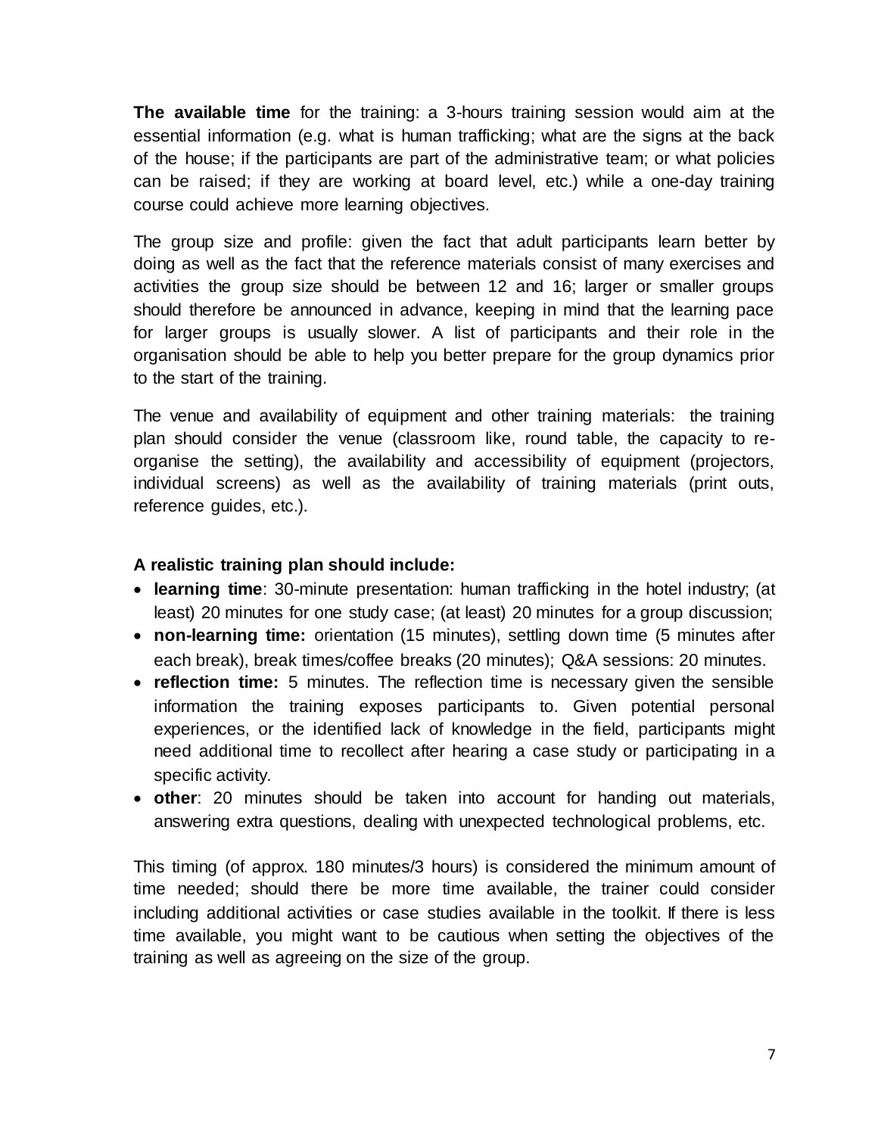**The available time** for the training: a 3-hours training session would aim at the essential information (e.g. what is human trafficking; what are the signs at the back of the house; if the participants are part of the administrative team; or what policies can be raised; if they are working at board level, etc.) while a one-day training course could achieve more learning objectives.

The group size and profile: given the fact that adult participants learn better by doing as well as the fact that the reference materials consist of many exercises and activities the group size should be between 12 and 16; larger or smaller groups should therefore be announced in advance, keeping in mind that the learning pace for larger groups is usually slower. A list of participants and their role in the organisation should be able to help you better prepare for the group dynamics prior to the start of the training.

The venue and availability of equipment and other training materials: the training plan should consider the venue (classroom like, round table, the capacity to reorganise the setting), the availability and accessibility of equipment (projectors, individual screens) as well as the availability of training materials (print outs, reference guides, etc.).

#### **A realistic training plan should include:**

- **learning time**: 30-minute presentation: human trafficking in the hotel industry; (at least) 20 minutes for one study case; (at least) 20 minutes for a group discussion;
- **non-learning time:** orientation (15 minutes), settling down time (5 minutes after each break), break times/coffee breaks (20 minutes); Q&A sessions: 20 minutes.
- **reflection time:** 5 minutes. The reflection time is necessary given the sensible information the training exposes participants to. Given potential personal experiences, or the identified lack of knowledge in the field, participants might need additional time to recollect after hearing a case study or participating in a specific activity.
- **other**: 20 minutes should be taken into account for handing out materials, answering extra questions, dealing with unexpected technological problems, etc.

This timing (of approx. 180 minutes/3 hours) is considered the minimum amount of time needed; should there be more time available, the trainer could consider including additional activities or case studies available in the toolkit. If there is less time available, you might want to be cautious when setting the objectives of the training as well as agreeing on the size of the group.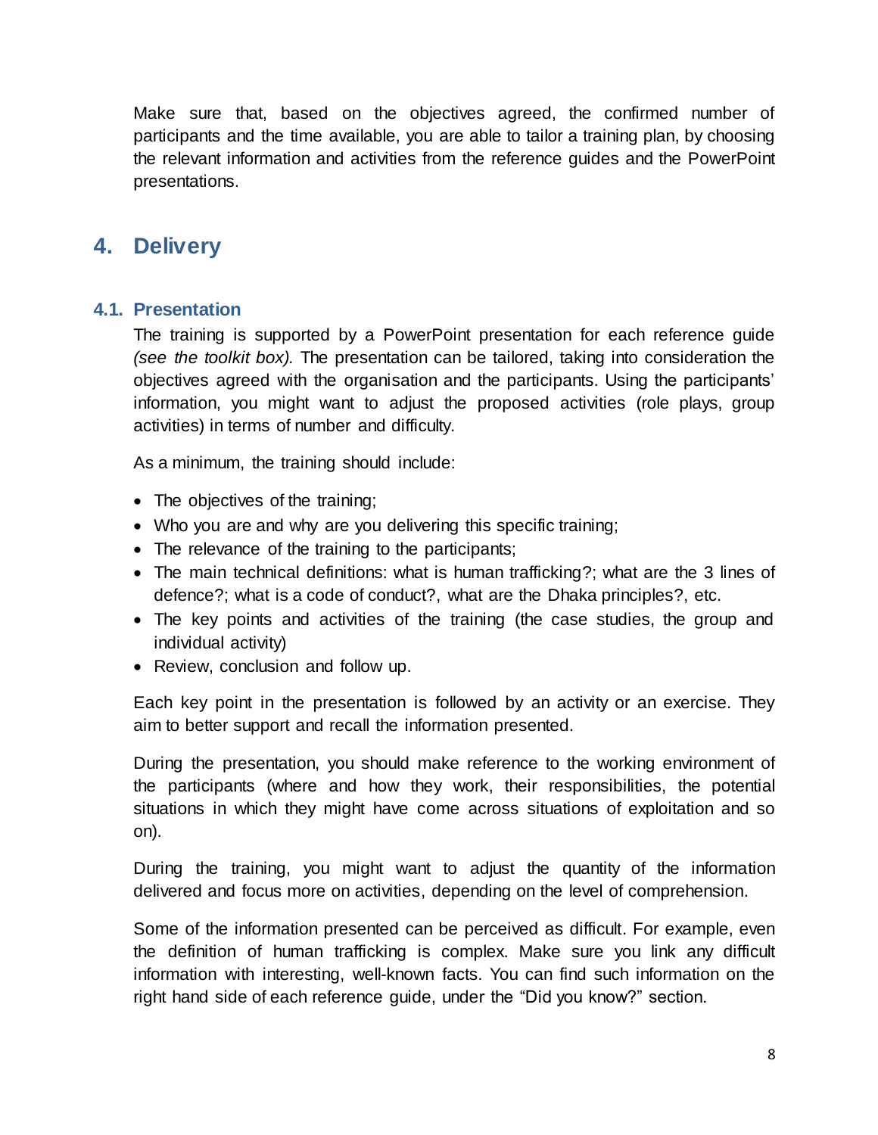Make sure that, based on the objectives agreed, the confirmed number of participants and the time available, you are able to tailor a training plan, by choosing the relevant information and activities from the reference guides and the PowerPoint presentations.

## <span id="page-7-0"></span>**4. Delivery**

#### <span id="page-7-1"></span>**4.1. Presentation**

The training is supported by a PowerPoint presentation for each reference guide *(see the toolkit box).* The presentation can be tailored, taking into consideration the objectives agreed with the organisation and the participants. Using the participants' information, you might want to adjust the proposed activities (role plays, group activities) in terms of number and difficulty.

As a minimum, the training should include:

- The objectives of the training:
- Who you are and why are you delivering this specific training;
- The relevance of the training to the participants;
- The main technical definitions: what is human trafficking?; what are the 3 lines of defence?; what is a code of conduct?, what are the Dhaka principles?, etc.
- The key points and activities of the training (the case studies, the group and individual activity)
- Review, conclusion and follow up.

Each key point in the presentation is followed by an activity or an exercise. They aim to better support and recall the information presented.

During the presentation, you should make reference to the working environment of the participants (where and how they work, their responsibilities, the potential situations in which they might have come across situations of exploitation and so on).

During the training, you might want to adjust the quantity of the information delivered and focus more on activities, depending on the level of comprehension.

Some of the information presented can be perceived as difficult. For example, even the definition of human trafficking is complex. Make sure you link any difficult information with interesting, well-known facts. You can find such information on the right hand side of each reference guide, under the "Did you know?" section.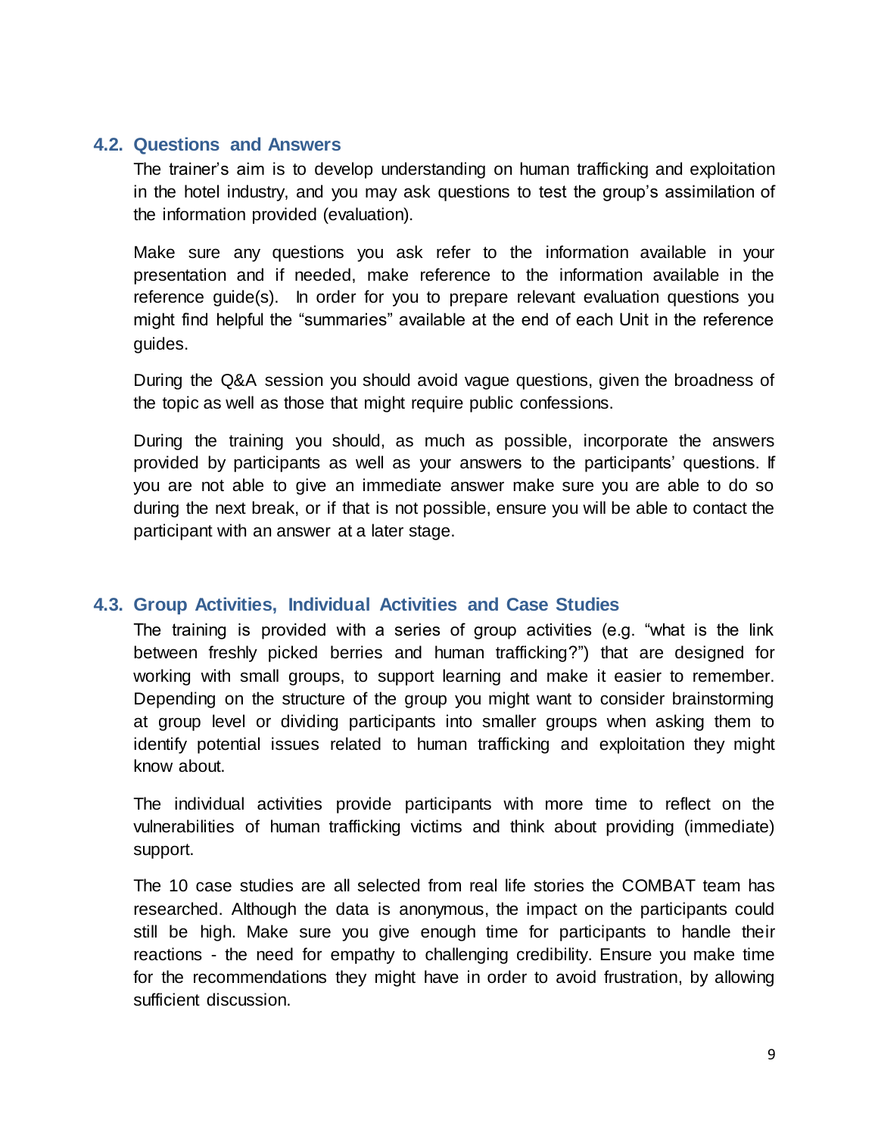#### <span id="page-8-0"></span>**4.2. Questions and Answers**

The trainer's aim is to develop understanding on human trafficking and exploitation in the hotel industry, and you may ask questions to test the group's assimilation of the information provided (evaluation).

Make sure any questions you ask refer to the information available in your presentation and if needed, make reference to the information available in the reference guide(s). In order for you to prepare relevant evaluation questions you might find helpful the "summaries" available at the end of each Unit in the reference guides.

During the Q&A session you should avoid vague questions, given the broadness of the topic as well as those that might require public confessions.

During the training you should, as much as possible, incorporate the answers provided by participants as well as your answers to the participants' questions. If you are not able to give an immediate answer make sure you are able to do so during the next break, or if that is not possible, ensure you will be able to contact the participant with an answer at a later stage.

#### <span id="page-8-1"></span>**4.3. Group Activities, Individual Activities and Case Studies**

The training is provided with a series of group activities (e.g. "what is the link between freshly picked berries and human trafficking?") that are designed for working with small groups, to support learning and make it easier to remember. Depending on the structure of the group you might want to consider brainstorming at group level or dividing participants into smaller groups when asking them to identify potential issues related to human trafficking and exploitation they might know about.

The individual activities provide participants with more time to reflect on the vulnerabilities of human trafficking victims and think about providing (immediate) support.

The 10 case studies are all selected from real life stories the COMBAT team has researched. Although the data is anonymous, the impact on the participants could still be high. Make sure you give enough time for participants to handle their reactions - the need for empathy to challenging credibility. Ensure you make time for the recommendations they might have in order to avoid frustration, by allowing sufficient discussion.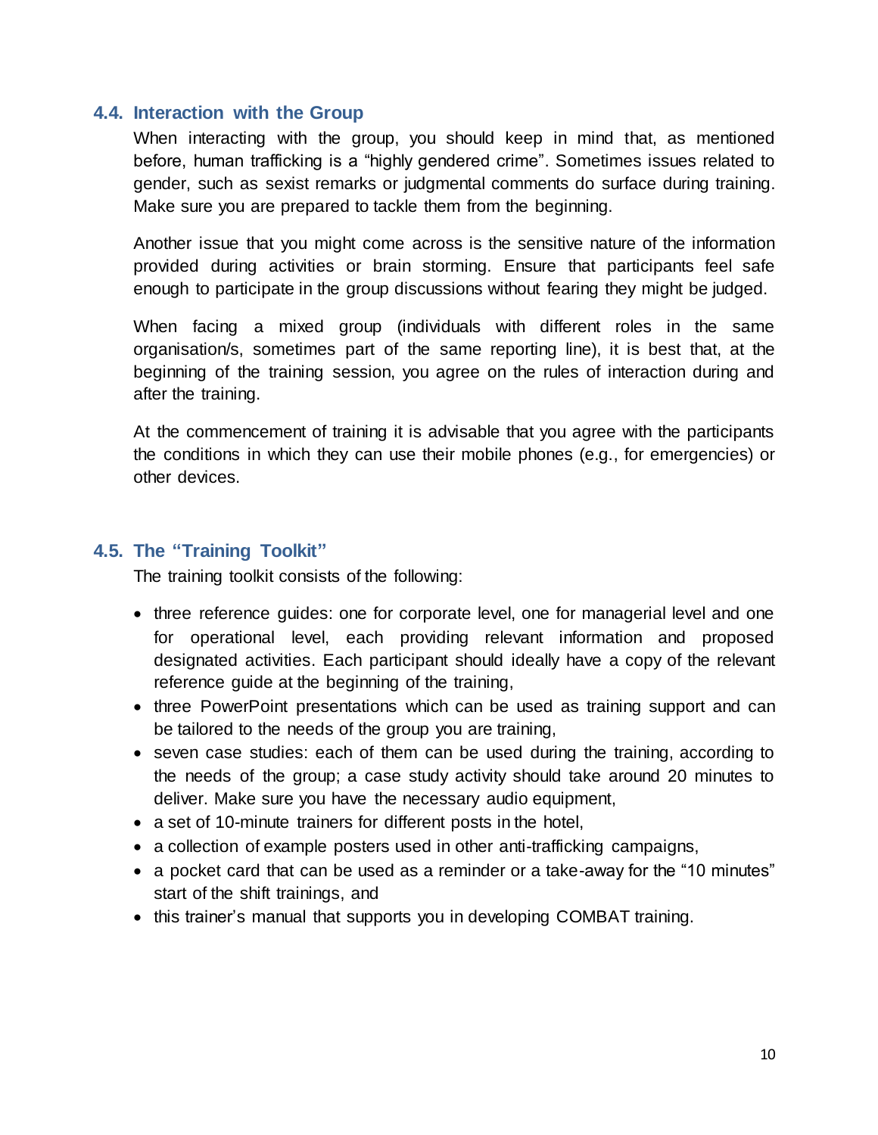#### <span id="page-9-0"></span>**4.4. Interaction with the Group**

When interacting with the group, you should keep in mind that, as mentioned before, human trafficking is a "highly gendered crime". Sometimes issues related to gender, such as sexist remarks or judgmental comments do surface during training. Make sure you are prepared to tackle them from the beginning.

Another issue that you might come across is the sensitive nature of the information provided during activities or brain storming. Ensure that participants feel safe enough to participate in the group discussions without fearing they might be judged.

When facing a mixed group (individuals with different roles in the same organisation/s, sometimes part of the same reporting line), it is best that, at the beginning of the training session, you agree on the rules of interaction during and after the training.

At the commencement of training it is advisable that you agree with the participants the conditions in which they can use their mobile phones (e.g., for emergencies) or other devices.

#### <span id="page-9-1"></span>**4.5. The "Training Toolkit"**

The training toolkit consists of the following:

- three reference guides: one for corporate level, one for managerial level and one for operational level, each providing relevant information and proposed designated activities. Each participant should ideally have a copy of the relevant reference guide at the beginning of the training,
- three PowerPoint presentations which can be used as training support and can be tailored to the needs of the group you are training,
- seven case studies: each of them can be used during the training, according to the needs of the group; a case study activity should take around 20 minutes to deliver. Make sure you have the necessary audio equipment,
- a set of 10-minute trainers for different posts in the hotel,
- a collection of example posters used in other anti-trafficking campaigns,
- a pocket card that can be used as a reminder or a take-away for the "10 minutes" start of the shift trainings, and
- this trainer's manual that supports you in developing COMBAT training.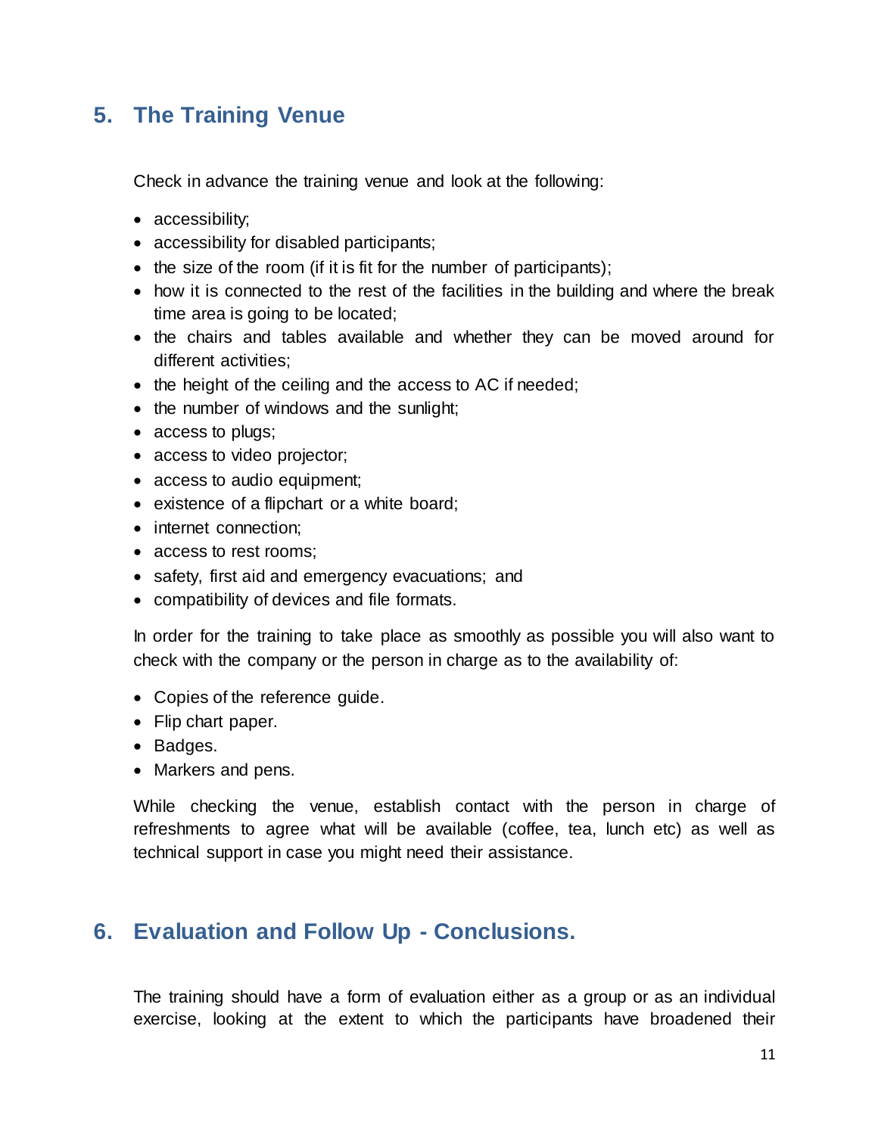## <span id="page-10-0"></span>**5. The Training Venue**

Check in advance the training venue and look at the following:

- accessibility;
- accessibility for disabled participants;
- $\bullet$  the size of the room (if it is fit for the number of participants);
- how it is connected to the rest of the facilities in the building and where the break time area is going to be located;
- the chairs and tables available and whether they can be moved around for different activities;
- the height of the ceiling and the access to AC if needed;
- the number of windows and the sunlight;
- access to plugs;
- access to video projector;
- access to audio equipment;
- existence of a flipchart or a white board;
- internet connection:
- access to rest rooms:
- safety, first aid and emergency evacuations; and
- compatibility of devices and file formats.

In order for the training to take place as smoothly as possible you will also want to check with the company or the person in charge as to the availability of:

- Copies of the reference guide.
- Flip chart paper.
- Badges.
- Markers and pens.

While checking the venue, establish contact with the person in charge of refreshments to agree what will be available (coffee, tea, lunch etc) as well as technical support in case you might need their assistance.

### <span id="page-10-1"></span>**6. Evaluation and Follow Up - Conclusions.**

The training should have a form of evaluation either as a group or as an individual exercise, looking at the extent to which the participants have broadened their